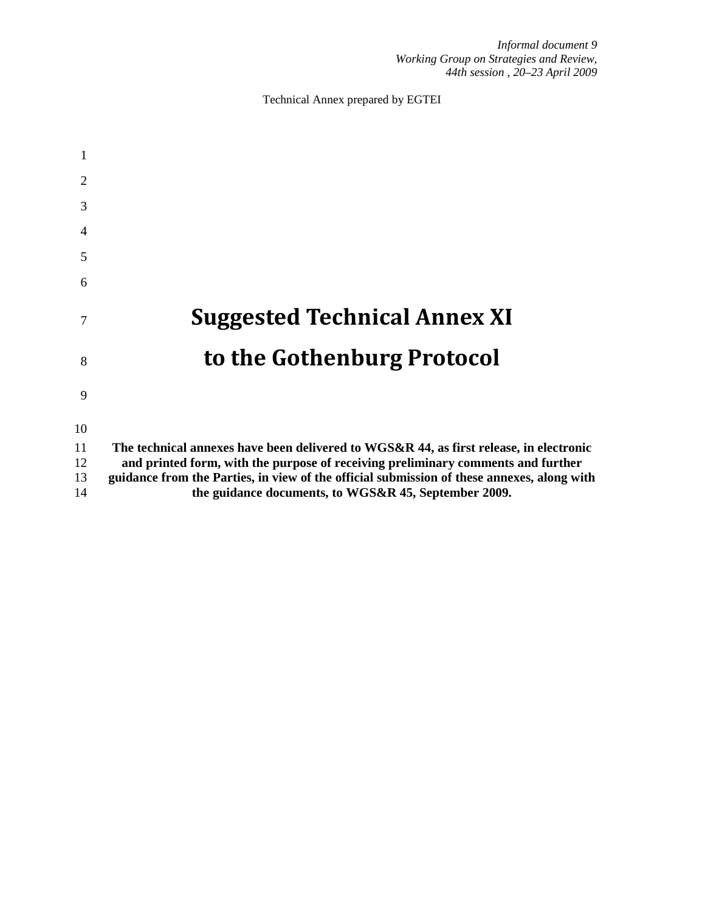Technical Annex prepared by EGTEI

| 2        |                                                                                                                                                                                |
|----------|--------------------------------------------------------------------------------------------------------------------------------------------------------------------------------|
| 3        |                                                                                                                                                                                |
| 4        |                                                                                                                                                                                |
| 5        |                                                                                                                                                                                |
| 6        |                                                                                                                                                                                |
| 7        | <b>Suggested Technical Annex XI</b>                                                                                                                                            |
| 8        | to the Gothenburg Protocol                                                                                                                                                     |
| 9        |                                                                                                                                                                                |
| 10       |                                                                                                                                                                                |
| 11       | The technical annexes have been delivered to WGS&R 44, as first release, in electronic                                                                                         |
| 12<br>13 | and printed form, with the purpose of receiving preliminary comments and further<br>guidance from the Parties, in view of the official submission of these annexes, along with |
| 14       | the guidance documents, to WGS&R 45, September 2009.                                                                                                                           |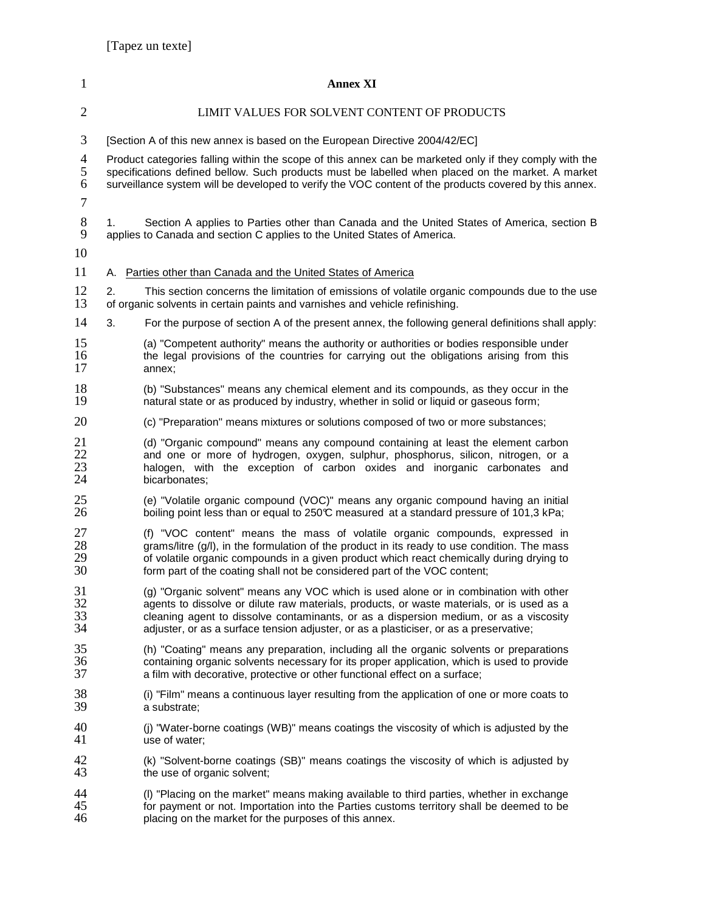| 1                        |                             | <b>Annex XI</b>                                                                                                                                                                                                                                                                                                                                                      |  |
|--------------------------|-----------------------------|----------------------------------------------------------------------------------------------------------------------------------------------------------------------------------------------------------------------------------------------------------------------------------------------------------------------------------------------------------------------|--|
| $\overline{2}$           |                             | LIMIT VALUES FOR SOLVENT CONTENT OF PRODUCTS                                                                                                                                                                                                                                                                                                                         |  |
| 3                        |                             | [Section A of this new annex is based on the European Directive 2004/42/EC]                                                                                                                                                                                                                                                                                          |  |
| $\overline{4}$<br>5<br>6 |                             | Product categories falling within the scope of this annex can be marketed only if they comply with the<br>specifications defined bellow. Such products must be labelled when placed on the market. A market<br>surveillance system will be developed to verify the VOC content of the products covered by this annex.                                                |  |
| 7<br>$8\,$               | 1.                          | Section A applies to Parties other than Canada and the United States of America, section B                                                                                                                                                                                                                                                                           |  |
| 9<br>10                  |                             | applies to Canada and section C applies to the United States of America.                                                                                                                                                                                                                                                                                             |  |
| 11                       |                             | A. Parties other than Canada and the United States of America                                                                                                                                                                                                                                                                                                        |  |
| 12<br>13                 | 2.                          | This section concerns the limitation of emissions of volatile organic compounds due to the use<br>of organic solvents in certain paints and varnishes and vehicle refinishing.                                                                                                                                                                                       |  |
| 14                       | 3.                          | For the purpose of section A of the present annex, the following general definitions shall apply:                                                                                                                                                                                                                                                                    |  |
| 15<br>16<br>17           | annex;                      | (a) "Competent authority" means the authority or authorities or bodies responsible under<br>the legal provisions of the countries for carrying out the obligations arising from this                                                                                                                                                                                 |  |
| 18<br>19                 |                             | (b) "Substances" means any chemical element and its compounds, as they occur in the<br>natural state or as produced by industry, whether in solid or liquid or gaseous form;                                                                                                                                                                                         |  |
| 20                       |                             | (c) "Preparation" means mixtures or solutions composed of two or more substances;                                                                                                                                                                                                                                                                                    |  |
| 21<br>22<br>23<br>24     | bicarbonates;               | (d) "Organic compound" means any compound containing at least the element carbon<br>and one or more of hydrogen, oxygen, sulphur, phosphorus, silicon, nitrogen, or a<br>halogen, with the exception of carbon oxides and inorganic carbonates and                                                                                                                   |  |
| 25<br>26                 |                             | (e) "Volatile organic compound (VOC)" means any organic compound having an initial<br>boiling point less than or equal to 250°C measured at a standard pressure of 101,3 kPa;                                                                                                                                                                                        |  |
| 27<br>28<br>29<br>30     |                             | (f) "VOC content" means the mass of volatile organic compounds, expressed in<br>grams/litre (g/l), in the formulation of the product in its ready to use condition. The mass<br>of volatile organic compounds in a given product which react chemically during drying to<br>form part of the coating shall not be considered part of the VOC content;                |  |
| 31<br>32<br>33<br>34     |                             | (g) "Organic solvent" means any VOC which is used alone or in combination with other<br>agents to dissolve or dilute raw materials, products, or waste materials, or is used as a<br>cleaning agent to dissolve contaminants, or as a dispersion medium, or as a viscosity<br>adjuster, or as a surface tension adjuster, or as a plasticiser, or as a preservative; |  |
| 35<br>36<br>37           |                             | (h) "Coating" means any preparation, including all the organic solvents or preparations<br>containing organic solvents necessary for its proper application, which is used to provide<br>a film with decorative, protective or other functional effect on a surface;                                                                                                 |  |
| 38<br>39                 | a substrate;                | (i) "Film" means a continuous layer resulting from the application of one or more coats to                                                                                                                                                                                                                                                                           |  |
| 40<br>41                 | use of water;               | (j) "Water-borne coatings (WB)" means coatings the viscosity of which is adjusted by the                                                                                                                                                                                                                                                                             |  |
| 42<br>43                 | the use of organic solvent; | (k) "Solvent-borne coatings (SB)" means coatings the viscosity of which is adjusted by                                                                                                                                                                                                                                                                               |  |
| 44<br>45<br>46           |                             | (I) "Placing on the market" means making available to third parties, whether in exchange<br>for payment or not. Importation into the Parties customs territory shall be deemed to be<br>placing on the market for the purposes of this annex.                                                                                                                        |  |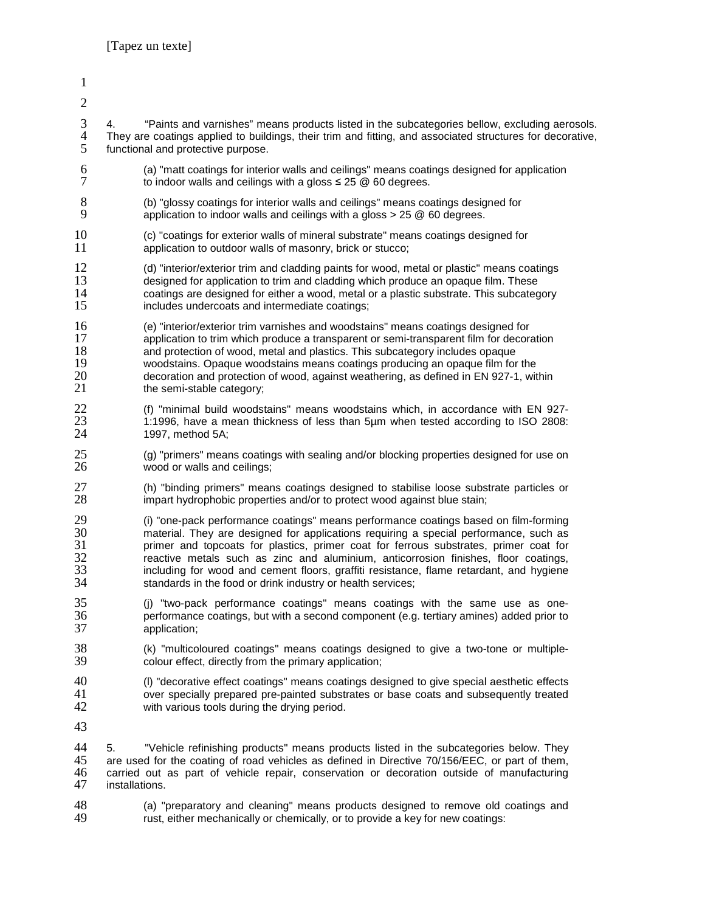installations.

- 1 2 3 4. "Paints and varnishes" means products listed in the subcategories bellow, excluding aerosols. 4 They are coatings applied to buildings, their trim and fitting, and associated structures for decorative,<br>5 functional and protective purpose. functional and protective purpose. 6 (a) "matt coatings for interior walls and ceilings" means coatings designed for application  $7$  to indoor walls and ceilings with a gloss  $\leq 25 \text{ } \textcircled{e}$  60 degrees. to indoor walls and ceilings with a gloss  $\leq 25 \, \textcircled{2}$  60 degrees. 8 (b) "glossy coatings for interior walls and ceilings" means coatings designed for<br>9 application to indoor walls and ceilings with a gloss  $> 25 \text{ } \textcircled{}$  60 degrees application to indoor walls and ceilings with a gloss  $> 25 \circledcirc 60$  degrees. 10 (c) "coatings for exterior walls of mineral substrate" means coatings designed for<br>11 application to outdoor walls of masonry, brick or stucco; application to outdoor walls of masonry, brick or stucco; 12 (d) "interior/exterior trim and cladding paints for wood, metal or plastic" means coatings<br>13 designed for application to trim and cladding which produce an opaque film. These 13 designed for application to trim and cladding which produce an opaque film. These<br>14 coatings are designed for either a wood, metal or a plastic substrate. This subcated 14 coatings are designed for either a wood, metal or a plastic substrate. This subcategory<br>15 completed includes undercoats and intermediate coatings: includes undercoats and intermediate coatings; 16 (e) "interior/exterior trim varnishes and woodstains" means coatings designed for 17 application to trim which produce a transparent or semi-transparent film for decoration<br>18 and protection of wood, metal and plastics. This subcategory includes opaque 18 and protection of wood, metal and plastics. This subcategory includes opaque<br>19 woodstains. Opaque woodstains means coatings producing an opaque film for 19 woodstains. Opaque woodstains means coatings producing an opaque film for the 20 decoration and protection of wood, against weathering, as defined in EN 927-1, within 21 the semi-stable category: the semi-stable category; 22 (f) "minimal build woodstains" means woodstains which, in accordance with EN 927-<br>23 1:1996, have a mean thickness of less than 5um when tested according to ISO 2808: 23 1:1996, have a mean thickness of less than 5µm when tested according to ISO 2808:<br>24 1997, method 5A: 1997, method 5A; 25 (g) "primers" means coatings with sealing and/or blocking properties designed for use on 26 (26) wood or walls and ceilings: wood or walls and ceilings; 27 (h) "binding primers" means coatings designed to stabilise loose substrate particles or 28 impart hydrophobic properties and/or to protect wood against blue stain; impart hydrophobic properties and/or to protect wood against blue stain; 29 (i) "one-pack performance coatings" means performance coatings based on film-forming 30 material. They are designed for applications requiring a special performance, such as<br>31 primer and topcoats for plastics, primer coat for ferrous substrates, primer coat for 31 primer and topcoats for plastics, primer coat for ferrous substrates, primer coat for<br>32 reactive metals such as zinc and aluminium, anticorrosion finishes, floor coatings, 32 reactive metals such as zinc and aluminium, anticorrosion finishes, floor coatings,<br>33 including for wood and cement floors, graffiti resistance, flame retardant, and hygiene 33 including for wood and cement floors, graffiti resistance, flame retardant, and hygiene<br>34 standards in the food or drink industry or health services; standards in the food or drink industry or health services; 35 (j) "two-pack performance coatings" means coatings with the same use as one-36 performance coatings, but with a second component (e.g. tertiary amines) added prior to application; 38 (k) "multicoloured coatings" means coatings designed to give a two-tone or multiple-<br>39 colour effect, directly from the primary application: colour effect, directly from the primary application; 40 (I) "decorative effect coatings" means coatings designed to give special aesthetic effects<br>41 over specially prepared pre-painted substrates or base coats and subsequently treated 41 over specially prepared pre-painted substrates or base coats and subsequently treated 42 with various tools during the drving period. with various tools during the drying period. 43 44 5. "Vehicle refinishing products" means products listed in the subcategories below. They<br>45 are used for the coating of road vehicles as defined in Directive 70/156/EEC, or part of them. 45 are used for the coating of road vehicles as defined in Directive 70/156/EEC, or part of them,<br>46 carried out as part of vehicle repair, conservation or decoration outside of manufacturing
- 48 (a) "preparatory and cleaning" means products designed to remove old coatings and 49 (a) rust either mechanically or chemically or to provide a key for new coatings: rust, either mechanically or chemically, or to provide a key for new coatings:

46 carried out as part of vehicle repair, conservation or decoration outside of manufacturing<br>47 installations.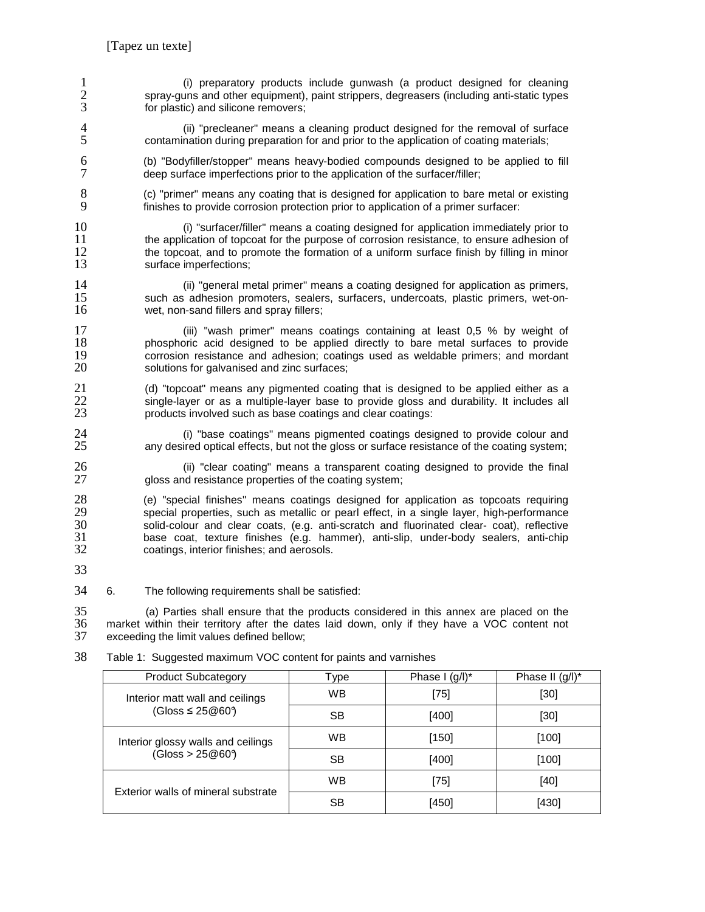|   | (i) preparatory products include gunwash (a product designed for cleaning<br>spray-guns and other equipment), paint strippers, degreasers (including anti-static types<br>for plastic) and silicone removers; |
|---|---------------------------------------------------------------------------------------------------------------------------------------------------------------------------------------------------------------|
| 4 | (ii) "precleaner" means a cleaning product designed for the removal of surface<br>contamination during preparation for and prior to the application of coating materials;                                     |
| 6 | (b) "Bodyfiller/stopper" means heavy-bodied compounds designed to be applied to fill<br>deep surface imperfections prior to the application of the surfacer/filler;                                           |
|   | (c) "primer" means any coating that is designed for application to bare metal or existing<br>finishes to provide corrosion protection prior to application of a primer surfacer:                              |

10 (i) "surfacer/filler" means a coating designed for application immediately prior to 11 the application of topcoat for the purpose of corrosion resistance, to ensure adhesion of 12 the topcoat, and to promote the formation of a uniform surface finish by filling in minor 12 the topcoat, and to promote the formation of a uniform surface finish by filling in minor 13 surface imperfections;

14 (ii) "general metal primer" means a coating designed for application as primers,<br>15 such as adhesion promoters, sealers, surfacers, undercoats, plastic primers, wet-on-15 such as adhesion promoters, sealers, surfacers, undercoats, plastic primers, wet-on-<br>16 wet, non-sand fillers and spray fillers; wet, non-sand fillers and spray fillers;

17 (iii) "wash primer" means coatings containing at least 0,5 % by weight of 18 containing at least 0.5 % by weight of 18 phosphoric acid designed to be applied directly to bare metal surfaces to provide<br>19 corrosion resistance and adhesion; coatings used as weldable primers; and mordant 19 corrosion resistance and adhesion; coatings used as weldable primers; and mordant 20 solutions for galvanised and zinc surfaces; solutions for galvanised and zinc surfaces;

21 (d) "topcoat" means any pigmented coating that is designed to be applied either as a<br>22 single-layer or as a multiple-layer base to provide gloss and durability. It includes all 22 single-layer or as a multiple-layer base to provide gloss and durability. It includes all 23 products involved such as base coatings and clear coatings: products involved such as base coatings and clear coatings:

24 (i) "base coatings" means pigmented coatings designed to provide colour and 25 any desired optical effects, but not the gloss or surface resistance of the coating system; any desired optical effects, but not the gloss or surface resistance of the coating system;

26 (ii) "clear coating" means a transparent coating designed to provide the final 27 closs and resistance properties of the coating system: gloss and resistance properties of the coating system;

28 (e) "special finishes" means coatings designed for application as topcoats requiring 29 special properties, such as metallic or pearl effect, in a single layer, high-performance<br>30 solid-colour and clear coats, (e.g. anti-scratch and fluorinated clear- coat), reflective 30 solid-colour and clear coats, (e.g. anti-scratch and fluorinated clear- coat), reflective 31 base coat, texture finishes (e.g. hammer), anti-slip, under-body sealers, anti-chip coatings, interior finishes; and aerosols.

33

34 6. The following requirements shall be satisfied:

35 (a) Parties shall ensure that the products considered in this annex are placed on the 36 market within their territory after the dates laid down, only if they have a VOC content not exceeding the limit values defined bellow;

| <b>Product Subcategory</b>          | vpe | Phase $I$ (g/l) <sup>*</sup> | Phase II $(q/l)^*$ |
|-------------------------------------|-----|------------------------------|--------------------|
| Interior matt wall and ceilings     | WВ  | [75]                         | [30]               |
| (Gloss $\leq 25@60$ )               | SВ  | [400]                        | [30]               |
| Interior glossy walls and ceilings  | WВ  | [150]                        | [100]              |
| (Gloss > 25@609)                    | SВ  | [400]                        | [100]              |
| Exterior walls of mineral substrate | WB  | [75]                         | [40]               |
|                                     | SВ  | [450]                        | [430]              |

38 Table 1: Suggested maximum VOC content for paints and varnishes